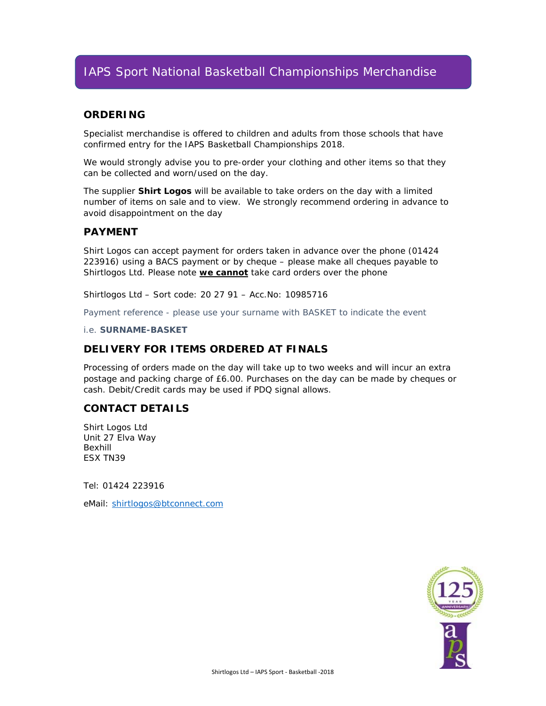## IAPS Sport National Basketball Championships Merchandise

#### **ORDERING**

Specialist merchandise is offered to children and adults from those schools that have confirmed entry for the IAPS Basketball Championships 2018.

*We would strongly advise you to pre-order your clothing and other items so that they can be collected and worn/used on the day.* 

The supplier **Shirt Logos** will be available to take orders on the day with a limited number of items on sale and to view. We strongly recommend ordering in advance to avoid disappointment on the day

#### **PAYMENT**

Shirt Logos can accept payment for orders taken in advance over the phone (01424 223916) using a BACS payment or by cheque – please make all cheques payable to Shirtlogos Ltd. Please note **we cannot** take card orders over the phone

*Shirtlogos Ltd – Sort code: 20 27 91 – Acc.No: 10985716* 

*Payment reference - please use your surname with BASKET to indicate the event* 

*i.e. SURNAME-BASKET* 

#### **DELIVERY FOR ITEMS ORDERED AT FINALS**

Processing of orders made on the day will take up to two weeks and will incur an extra postage and packing charge of £6.00. Purchases on the day can be made by cheques or cash. Debit/Credit cards may be used if PDQ signal allows.

#### **CONTACT DETAILS**

Shirt Logos Ltd Unit 27 Elva Way Bexhill ESX TN39

Tel: 01424 223916

eMail: shirtlogos@btconnect.com

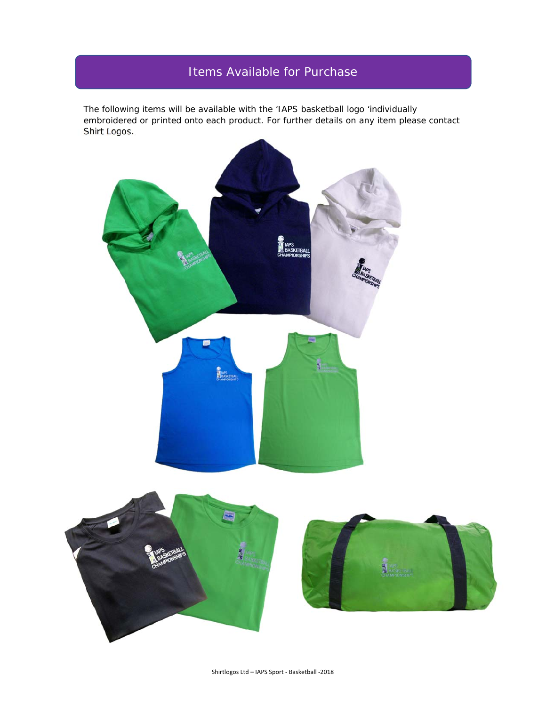# Items Available for Purchase

The following items will be available with the 'IAPS basketball logo 'individually embroidered or printed onto each product. For further details on any item please contact Shirt Logos.